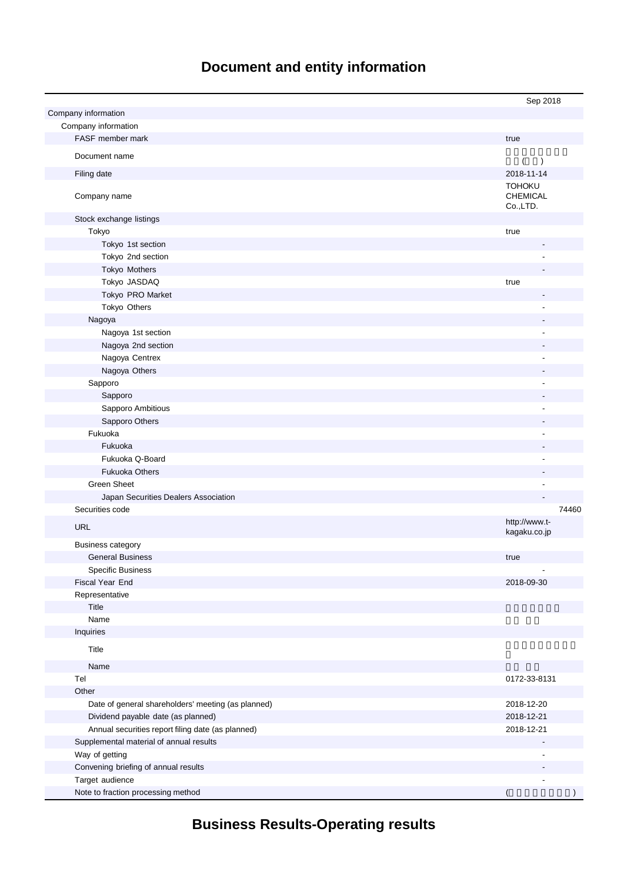# **Document and entity information**

|                                                    | Sep 2018                                     |
|----------------------------------------------------|----------------------------------------------|
| Company information                                |                                              |
| Company information                                |                                              |
| FASF member mark                                   | true                                         |
| Document name                                      |                                              |
|                                                    | $\overline{ }$<br>$\rightarrow$              |
| Filing date                                        | 2018-11-14                                   |
| Company name                                       | <b>TOHOKU</b><br><b>CHEMICAL</b><br>Co.,LTD. |
| Stock exchange listings                            |                                              |
| Tokyo                                              | true                                         |
| Tokyo 1st section                                  |                                              |
| Tokyo 2nd section                                  |                                              |
| Tokyo Mothers                                      |                                              |
| Tokyo JASDAQ                                       | true                                         |
| Tokyo PRO Market                                   |                                              |
| Tokyo Others                                       |                                              |
| Nagoya                                             |                                              |
| Nagoya 1st section                                 |                                              |
| Nagoya 2nd section                                 |                                              |
| Nagoya Centrex                                     |                                              |
| Nagoya Others                                      |                                              |
| Sapporo                                            | ÷,                                           |
| Sapporo                                            |                                              |
| Sapporo Ambitious                                  |                                              |
| Sapporo Others                                     |                                              |
| Fukuoka                                            |                                              |
| Fukuoka                                            |                                              |
| Fukuoka Q-Board                                    |                                              |
| <b>Fukuoka Others</b>                              |                                              |
| <b>Green Sheet</b>                                 |                                              |
| Japan Securities Dealers Association               |                                              |
| Securities code                                    | 74460                                        |
| <b>URL</b>                                         | http://www.t-<br>kagaku.co.jp                |
| <b>Business category</b>                           |                                              |
| <b>General Business</b>                            | true                                         |
| <b>Specific Business</b>                           |                                              |
| Fiscal Year End                                    | 2018-09-30                                   |
| Representative                                     |                                              |
| Title                                              |                                              |
| Name                                               |                                              |
| Inquiries                                          |                                              |
| Title                                              |                                              |
| Name                                               |                                              |
| Tel                                                | 0172-33-8131                                 |
| Other                                              |                                              |
| Date of general shareholders' meeting (as planned) | 2018-12-20                                   |
| Dividend payable date (as planned)                 | 2018-12-21                                   |
| Annual securities report filing date (as planned)  | 2018-12-21                                   |
| Supplemental material of annual results            |                                              |
| Way of getting                                     |                                              |
| Convening briefing of annual results               |                                              |
| Target audience                                    |                                              |
| Note to fraction processing method                 |                                              |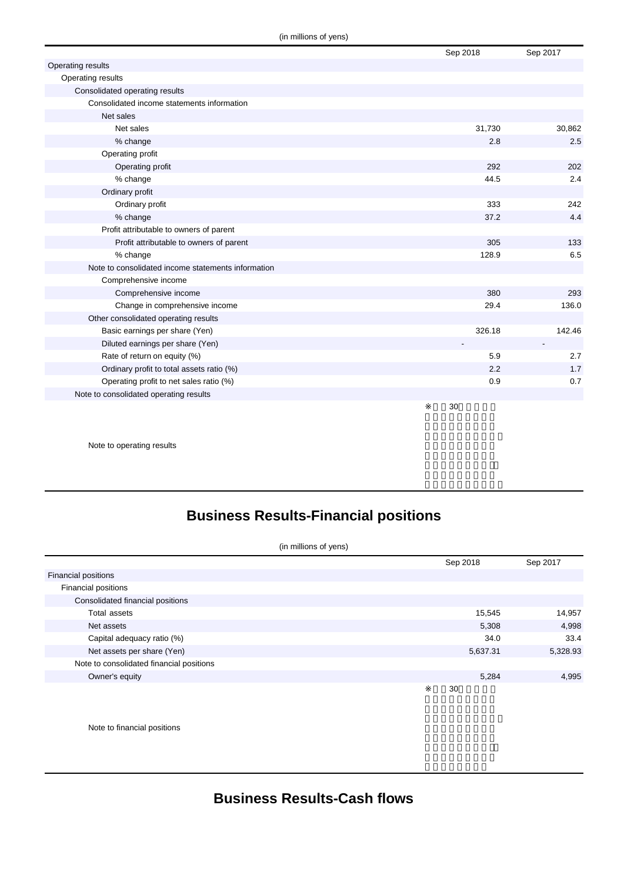|                                                    | Sep 2018 | Sep 2017 |
|----------------------------------------------------|----------|----------|
| Operating results                                  |          |          |
| Operating results                                  |          |          |
| Consolidated operating results                     |          |          |
| Consolidated income statements information         |          |          |
| Net sales                                          |          |          |
| Net sales                                          | 31,730   | 30,862   |
| % change                                           | 2.8      | 2.5      |
| Operating profit                                   |          |          |
| Operating profit                                   | 292      | 202      |
| % change                                           | 44.5     | 2.4      |
| Ordinary profit                                    |          |          |
| Ordinary profit                                    | 333      | 242      |
| % change                                           | 37.2     | 4.4      |
| Profit attributable to owners of parent            |          |          |
| Profit attributable to owners of parent            | 305      | 133      |
| % change                                           | 128.9    | 6.5      |
| Note to consolidated income statements information |          |          |
| Comprehensive income                               |          |          |
| Comprehensive income                               | 380      | 293      |
| Change in comprehensive income                     | 29.4     | 136.0    |
| Other consolidated operating results               |          |          |
| Basic earnings per share (Yen)                     | 326.18   | 142.46   |
| Diluted earnings per share (Yen)                   |          |          |
| Rate of return on equity (%)                       | 5.9      | 2.7      |
| Ordinary profit to total assets ratio (%)          | 2.2      | 1.7      |
| Operating profit to net sales ratio (%)            | 0.9      | 0.7      |
| Note to consolidated operating results             |          |          |
|                                                    | 30       |          |

Note to operating results

## **Business Results-Financial positions**

| (in millions of yens)                    |          |          |
|------------------------------------------|----------|----------|
|                                          | Sep 2018 | Sep 2017 |
| <b>Financial positions</b>               |          |          |
| Financial positions                      |          |          |
| Consolidated financial positions         |          |          |
| Total assets                             | 15,545   | 14,957   |
| Net assets                               | 5,308    | 4,998    |
| Capital adequacy ratio (%)               | 34.0     | 33.4     |
| Net assets per share (Yen)               | 5,637.31 | 5,328.93 |
| Note to consolidated financial positions |          |          |
| Owner's equity                           | 5,284    | 4,995    |
|                                          | 30       |          |

Note to financial positions

**Business Results-Cash flows**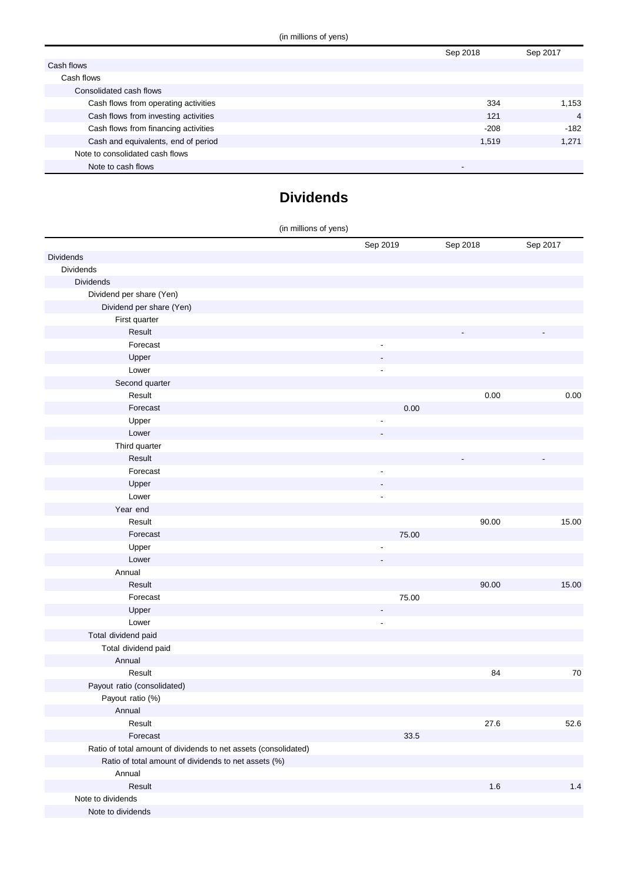|                                      | Sep 2018                 | Sep 2017       |
|--------------------------------------|--------------------------|----------------|
| Cash flows                           |                          |                |
| Cash flows                           |                          |                |
| Consolidated cash flows              |                          |                |
| Cash flows from operating activities | 334                      | 1,153          |
| Cash flows from investing activities | 121                      | $\overline{4}$ |
| Cash flows from financing activities | $-208$                   | $-182$         |
| Cash and equivalents, end of period  | 1.519                    | 1.271          |
| Note to consolidated cash flows      |                          |                |
| Note to cash flows                   | $\overline{\phantom{0}}$ |                |

### **Dividends**

| (in millions of yens)                                           |                              |          |          |
|-----------------------------------------------------------------|------------------------------|----------|----------|
|                                                                 | Sep 2019                     | Sep 2018 | Sep 2017 |
| <b>Dividends</b>                                                |                              |          |          |
| Dividends                                                       |                              |          |          |
| <b>Dividends</b>                                                |                              |          |          |
| Dividend per share (Yen)                                        |                              |          |          |
| Dividend per share (Yen)                                        |                              |          |          |
| First quarter                                                   |                              |          |          |
| Result                                                          |                              |          |          |
| Forecast                                                        | $\qquad \qquad \blacksquare$ |          |          |
| Upper                                                           |                              |          |          |
| Lower                                                           | $\qquad \qquad \blacksquare$ |          |          |
| Second quarter                                                  |                              |          |          |
| Result                                                          |                              | 0.00     | $0.00\,$ |
| Forecast                                                        | 0.00                         |          |          |
| Upper                                                           | ٠                            |          |          |
| Lower                                                           |                              |          |          |
| Third quarter                                                   |                              |          |          |
| Result                                                          |                              |          |          |
| Forecast                                                        | $\qquad \qquad \blacksquare$ |          |          |
| Upper                                                           |                              |          |          |
| Lower                                                           | $\qquad \qquad \blacksquare$ |          |          |
| Year end                                                        |                              |          |          |
| Result                                                          |                              | 90.00    | 15.00    |
| Forecast                                                        | 75.00                        |          |          |
| Upper                                                           |                              |          |          |
| Lower                                                           |                              |          |          |
| Annual                                                          |                              |          |          |
| Result                                                          |                              | 90.00    | 15.00    |
| Forecast                                                        | 75.00                        |          |          |
| Upper                                                           | $\overline{a}$               |          |          |
| Lower                                                           | $\qquad \qquad \blacksquare$ |          |          |
| Total dividend paid                                             |                              |          |          |
| Total dividend paid                                             |                              |          |          |
| Annual                                                          |                              |          |          |
| Result                                                          |                              | 84       | $70\,$   |
| Payout ratio (consolidated)                                     |                              |          |          |
| Payout ratio (%)                                                |                              |          |          |
| Annual                                                          |                              |          |          |
| Result                                                          |                              | 27.6     | 52.6     |
| Forecast                                                        | 33.5                         |          |          |
| Ratio of total amount of dividends to net assets (consolidated) |                              |          |          |
| Ratio of total amount of dividends to net assets (%)            |                              |          |          |
| Annual                                                          |                              |          |          |
| Result                                                          |                              | 1.6      | 1.4      |
| Note to dividends                                               |                              |          |          |
| Note to dividends                                               |                              |          |          |
|                                                                 |                              |          |          |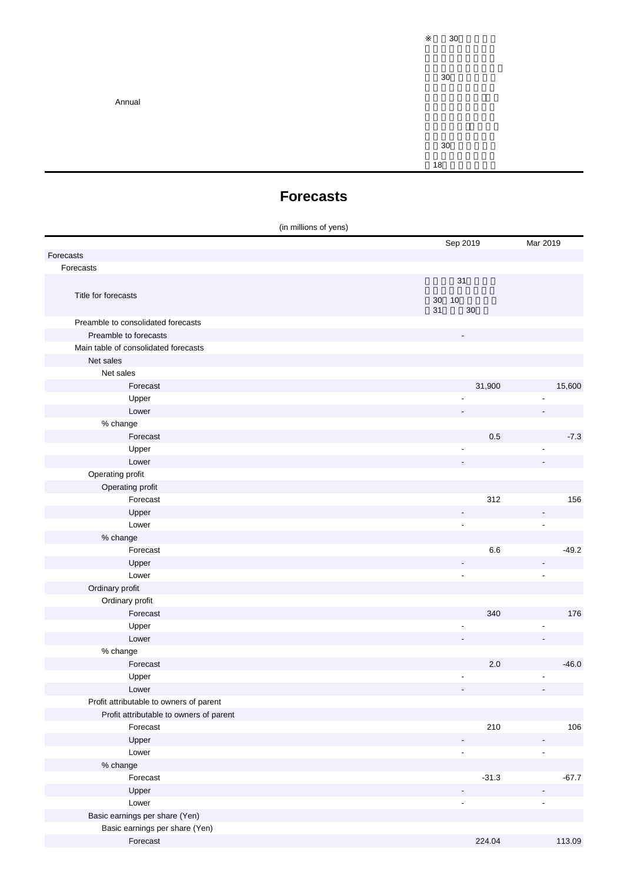Annual

※平成30年4月1日

30

平成30年9月期の1

18

**Forecasts**

(in millions of yens)

|                                         | Sep 2019                 | Mar 2019                 |
|-----------------------------------------|--------------------------|--------------------------|
| Forecasts                               |                          |                          |
| Forecasts                               |                          |                          |
|                                         | 31                       |                          |
| Title for forecasts                     |                          |                          |
|                                         | $30\,$<br>10<br>31<br>30 |                          |
| Preamble to consolidated forecasts      |                          |                          |
| Preamble to forecasts                   |                          |                          |
| Main table of consolidated forecasts    |                          |                          |
| Net sales                               |                          |                          |
| Net sales                               |                          |                          |
| Forecast                                | 31,900                   | 15,600                   |
| Upper                                   |                          |                          |
| Lower                                   |                          |                          |
| % change                                |                          |                          |
| Forecast                                | 0.5                      | $-7.3$                   |
| Upper                                   |                          |                          |
| Lower                                   |                          |                          |
| Operating profit                        |                          |                          |
| Operating profit                        |                          |                          |
| Forecast                                | 312                      | 156                      |
| Upper                                   |                          |                          |
| Lower                                   | $\overline{\phantom{a}}$ | $\overline{\phantom{a}}$ |
| % change                                |                          |                          |
| Forecast                                | 6.6                      | $-49.2$                  |
| Upper                                   |                          |                          |
| Lower                                   | $\overline{\phantom{a}}$ | $\overline{\phantom{a}}$ |
| Ordinary profit                         |                          |                          |
| Ordinary profit                         |                          |                          |
| Forecast                                | 340                      | 176                      |
| Upper                                   |                          |                          |
| Lower                                   |                          |                          |
| % change                                |                          |                          |
| Forecast                                | 2.0                      | $-46.0$                  |
| Upper                                   |                          |                          |
| Lower                                   |                          |                          |
| Profit attributable to owners of parent |                          |                          |
| Profit attributable to owners of parent |                          |                          |
| Forecast                                | 210                      | 106                      |
| Upper                                   | $\overline{\phantom{a}}$ |                          |
| Lower                                   | $\tilde{\phantom{a}}$    | $\overline{\phantom{a}}$ |
| % change                                |                          |                          |
| Forecast                                | $-31.3$                  | $-67.7$                  |
| Upper                                   |                          |                          |
| Lower                                   |                          | $\overline{\phantom{a}}$ |
| Basic earnings per share (Yen)          |                          |                          |
| Basic earnings per share (Yen)          |                          |                          |
| Forecast                                | 224.04                   | 113.09                   |
|                                         |                          |                          |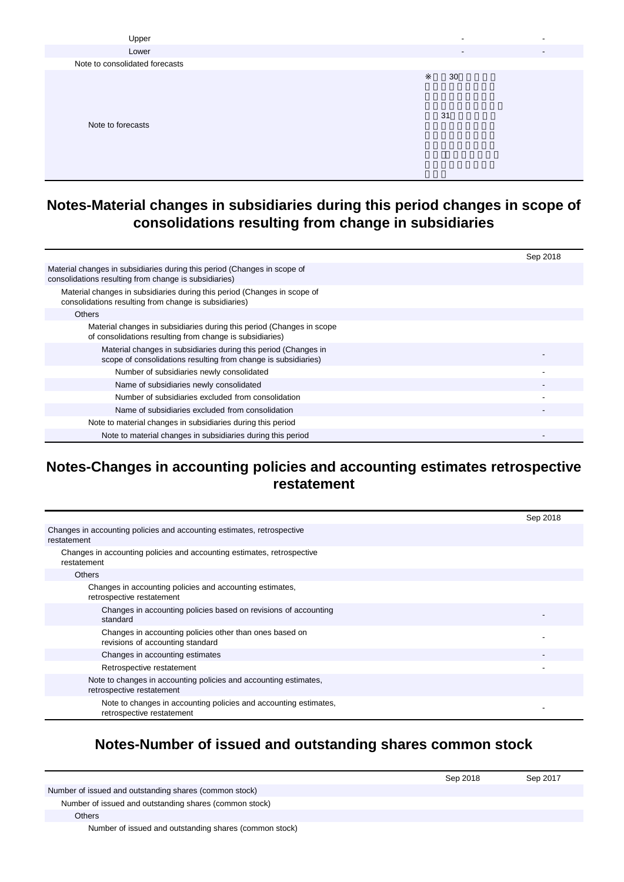| Upper                          |                          |                          |
|--------------------------------|--------------------------|--------------------------|
| Lower                          | $\overline{\phantom{a}}$ | $\overline{\phantom{a}}$ |
| Note to consolidated forecasts |                          |                          |
|                                | 30                       |                          |
| Note to forecasts              | 31                       |                          |

#### **Notes-Material changes in subsidiaries during this period changes in scope of consolidations resulting from change in subsidiaries**

|                                                                                                                                   | Sep 2018 |
|-----------------------------------------------------------------------------------------------------------------------------------|----------|
| Material changes in subsidiaries during this period (Changes in scope of<br>consolidations resulting from change is subsidiaries) |          |
| Material changes in subsidiaries during this period (Changes in scope of<br>consolidations resulting from change is subsidiaries) |          |
| <b>Others</b>                                                                                                                     |          |
| Material changes in subsidiaries during this period (Changes in scope<br>of consolidations resulting from change is subsidiaries) |          |
| Material changes in subsidiaries during this period (Changes in<br>scope of consolidations resulting from change is subsidiaries) |          |
| Number of subsidiaries newly consolidated                                                                                         |          |
| Name of subsidiaries newly consolidated                                                                                           |          |
| Number of subsidiaries excluded from consolidation                                                                                |          |
| Name of subsidiaries excluded from consolidation                                                                                  |          |
| Note to material changes in subsidiaries during this period                                                                       |          |
| Note to material changes in subsidiaries during this period                                                                       |          |

#### **Notes-Changes in accounting policies and accounting estimates retrospective restatement**

|                                                                                               | Sep 2018 |
|-----------------------------------------------------------------------------------------------|----------|
| Changes in accounting policies and accounting estimates, retrospective<br>restatement         |          |
| Changes in accounting policies and accounting estimates, retrospective<br>restatement         |          |
| <b>Others</b>                                                                                 |          |
| Changes in accounting policies and accounting estimates,<br>retrospective restatement         |          |
| Changes in accounting policies based on revisions of accounting<br>standard                   |          |
| Changes in accounting policies other than ones based on<br>revisions of accounting standard   |          |
| Changes in accounting estimates                                                               |          |
| Retrospective restatement                                                                     |          |
| Note to changes in accounting policies and accounting estimates,<br>retrospective restatement |          |
| Note to changes in accounting policies and accounting estimates,<br>retrospective restatement |          |

### **Notes-Number of issued and outstanding shares common stock**

|                                                        | Sep 2018 | Sep 2017 |
|--------------------------------------------------------|----------|----------|
| Number of issued and outstanding shares (common stock) |          |          |
| Number of issued and outstanding shares (common stock) |          |          |
| Others                                                 |          |          |

Number of issued and outstanding shares (common stock)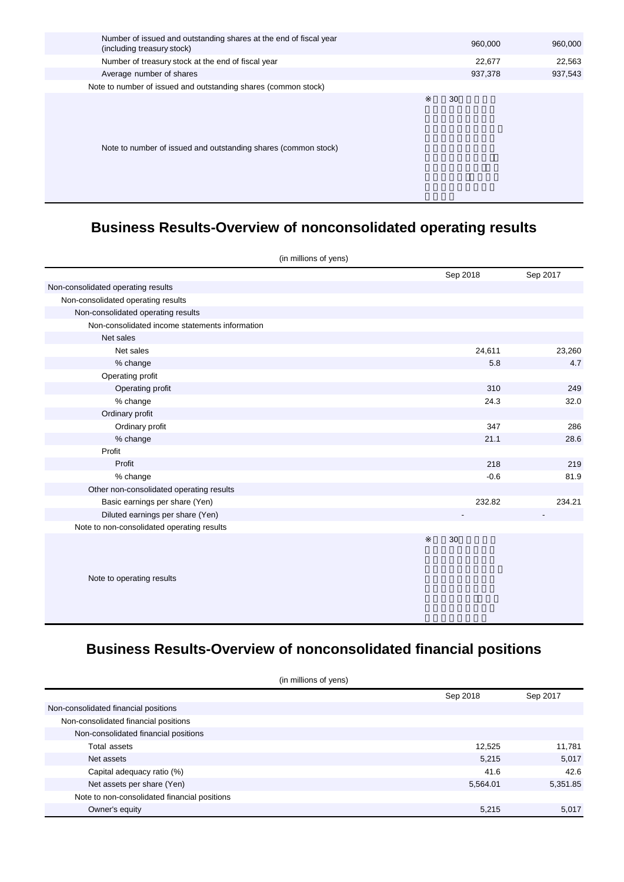| Number of issued and outstanding shares at the end of fiscal year<br>(including treasury stock) | 960,000 | 960,000 |
|-------------------------------------------------------------------------------------------------|---------|---------|
| Number of treasury stock at the end of fiscal year                                              | 22,677  | 22,563  |
| Average number of shares                                                                        | 937,378 | 937,543 |
| Note to number of issued and outstanding shares (common stock)                                  |         |         |
| Note to number of issued and outstanding shares (common stock)                                  | 30      |         |

## **Business Results-Overview of nonconsolidated operating results**

| (in millions of yens)                          |          |          |
|------------------------------------------------|----------|----------|
|                                                | Sep 2018 | Sep 2017 |
| Non-consolidated operating results             |          |          |
| Non-consolidated operating results             |          |          |
| Non-consolidated operating results             |          |          |
| Non-consolidated income statements information |          |          |
| Net sales                                      |          |          |
| Net sales                                      | 24,611   | 23,260   |
| % change                                       | 5.8      | 4.7      |
| Operating profit                               |          |          |
| Operating profit                               | 310      | 249      |
| % change                                       | 24.3     | 32.0     |
| Ordinary profit                                |          |          |
| Ordinary profit                                | 347      | 286      |
| % change                                       | 21.1     | 28.6     |
| Profit                                         |          |          |
| Profit                                         | 218      | 219      |
| % change                                       | $-0.6$   | 81.9     |
| Other non-consolidated operating results       |          |          |
| Basic earnings per share (Yen)                 | 232.82   | 234.21   |
| Diluted earnings per share (Yen)               |          |          |
| Note to non-consolidated operating results     |          |          |
| Note to operating results                      | 30       |          |

## **Business Results-Overview of nonconsolidated financial positions**

| (in millions of yens)                        |          |          |  |
|----------------------------------------------|----------|----------|--|
|                                              | Sep 2018 | Sep 2017 |  |
| Non-consolidated financial positions         |          |          |  |
| Non-consolidated financial positions         |          |          |  |
| Non-consolidated financial positions         |          |          |  |
| Total assets                                 | 12,525   | 11,781   |  |
| Net assets                                   | 5,215    | 5,017    |  |
| Capital adequacy ratio (%)                   | 41.6     | 42.6     |  |
| Net assets per share (Yen)                   | 5,564.01 | 5,351.85 |  |
| Note to non-consolidated financial positions |          |          |  |
| Owner's equity                               | 5,215    | 5,017    |  |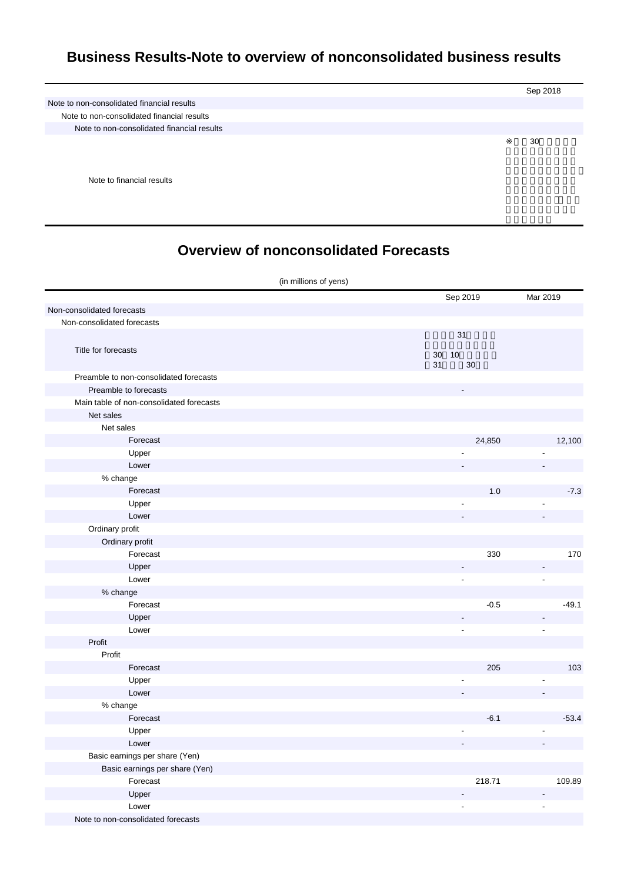#### **Business Results-Note to overview of nonconsolidated business results**

|                                            | Sep 2018 |
|--------------------------------------------|----------|
| Note to non-consolidated financial results |          |
| Note to non-consolidated financial results |          |
| Note to non-consolidated financial results |          |
|                                            | 30       |
|                                            |          |
|                                            |          |

Note to financial results

### **Overview of nonconsolidated Forecasts**

| (in millions of yens)                    |                      |                |
|------------------------------------------|----------------------|----------------|
|                                          | Sep 2019             | Mar 2019       |
| Non-consolidated forecasts               |                      |                |
| Non-consolidated forecasts               |                      |                |
|                                          | 31                   |                |
| Title for forecasts                      |                      |                |
|                                          | 30<br>10<br>31<br>30 |                |
| Preamble to non-consolidated forecasts   |                      |                |
| Preamble to forecasts                    |                      |                |
| Main table of non-consolidated forecasts |                      |                |
| Net sales                                |                      |                |
| Net sales                                |                      |                |
| Forecast                                 | 24,850               | 12,100         |
| Upper                                    |                      |                |
| Lower                                    |                      |                |
| % change                                 |                      |                |
| Forecast                                 | 1.0                  | $-7.3$         |
| Upper                                    |                      |                |
| Lower                                    |                      | ÷.             |
| Ordinary profit                          |                      |                |
| Ordinary profit                          |                      |                |
| Forecast                                 | 330                  | 170            |
| Upper                                    | Ĭ.                   | ÷,             |
| Lower                                    | $\blacksquare$       | $\Box$         |
| % change                                 |                      |                |
| Forecast                                 | $-0.5$               | $-49.1$        |
| Upper                                    |                      |                |
| Lower                                    | $\frac{1}{2}$        | $\blacksquare$ |
| Profit                                   |                      |                |
| Profit                                   |                      |                |
| Forecast                                 | 205                  | 103            |
| Upper                                    |                      |                |
| Lower                                    |                      |                |
| % change                                 |                      |                |
| Forecast                                 | $-6.1$               | $-53.4$        |
| Upper<br>Lower                           | ٠                    |                |
| Basic earnings per share (Yen)           |                      |                |
| Basic earnings per share (Yen)           |                      |                |
| Forecast                                 | 218.71               | 109.89         |
| Upper                                    | $\overline{a}$       | $\overline{a}$ |
| Lower                                    | ÷.                   | $\overline{a}$ |
| Note to non-consolidated forecasts       |                      |                |